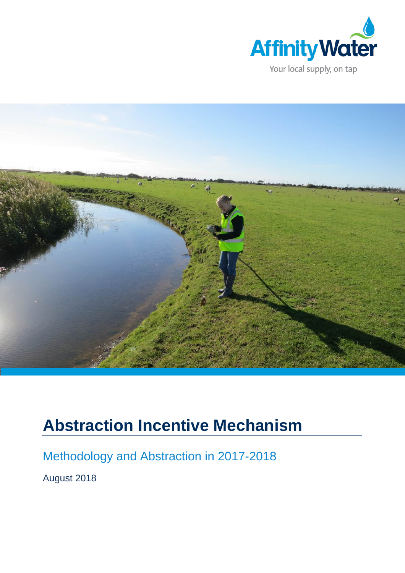



## **Abstraction Incentive Mechanism**

Methodology and Abstraction in 2017-2018

August 2018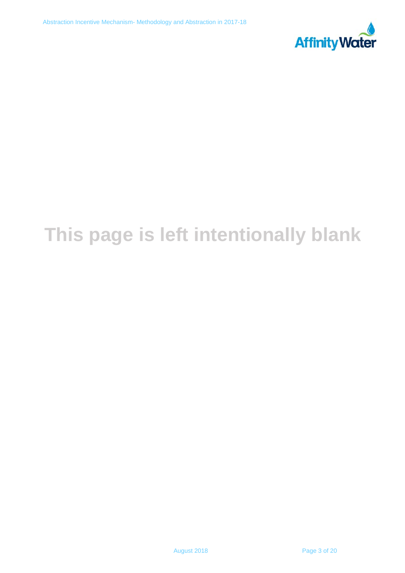

# **This page is left intentionally blank**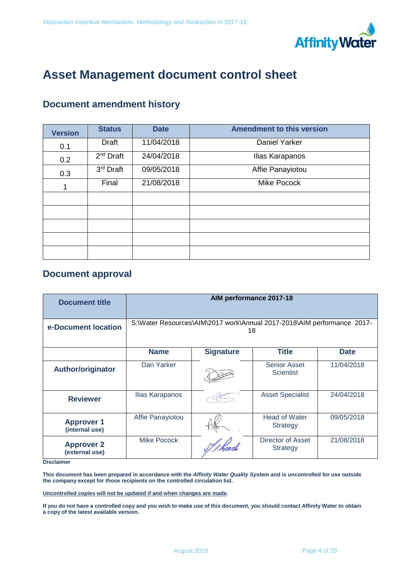

### **Asset Management document control sheet**

#### **Document amendment history**

| <b>Version</b> | <b>Status</b> | <b>Date</b> | <b>Amendment to this version</b> |
|----------------|---------------|-------------|----------------------------------|
| 0.1            | <b>Draft</b>  | 11/04/2018  | <b>Daniel Yarker</b>             |
| 0.2            | $2nd$ Draft   | 24/04/2018  | Ilias Karapanos                  |
| 0.3            | 3rd Draft     | 09/05/2018  | Affie Panayiotou                 |
|                | Final         | 21/08/2018  | <b>Mike Pocock</b>               |
|                |               |             |                                  |
|                |               |             |                                  |
|                |               |             |                                  |
|                |               |             |                                  |
|                |               |             |                                  |

#### **Document approval**

| <b>Document title</b>               | AIM performance 2017-18                                                       |                  |                                         |             |  |  |  |  |  |
|-------------------------------------|-------------------------------------------------------------------------------|------------------|-----------------------------------------|-------------|--|--|--|--|--|
| e-Document location                 | S:\Water Resources\AIM\2017 work\Annual 2017-2018\AIM performance 2017-<br>18 |                  |                                         |             |  |  |  |  |  |
|                                     | <b>Name</b>                                                                   | <b>Signature</b> | <b>Title</b>                            | <b>Date</b> |  |  |  |  |  |
| <b>Author/originator</b>            | Dan Yarker                                                                    |                  | <b>Senior Asset</b><br><b>Scientist</b> | 11/04/2018  |  |  |  |  |  |
| <b>Reviewer</b>                     | Ilias Karapanos                                                               |                  | <b>Asset Specialist</b>                 | 24/04/2018  |  |  |  |  |  |
| <b>Approver 1</b><br>(internal use) | Affie Panayiotou                                                              |                  | <b>Head of Water</b><br><b>Strategy</b> | 09/05/2018  |  |  |  |  |  |
| <b>Approver 2</b><br>(external use) | Mike Pocock                                                                   |                  | Director of Asset<br><b>Strategy</b>    | 21/08/2018  |  |  |  |  |  |

**Disclaimer**

**This document has been prepared in accordance with the** *Affinity Water Quality System* **and is uncontrolled for use outside the company except for those recipients on the controlled circulation list.** 

**Uncontrolled copies will not be updated if and when changes are made.**

**If you do not have a controlled copy and you wish to make use of this document, you should contact Affinity Water to obtain a copy of the latest available version.**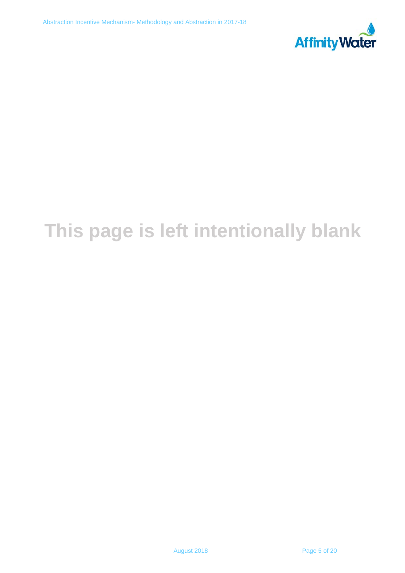

## **This page is left intentionally blank**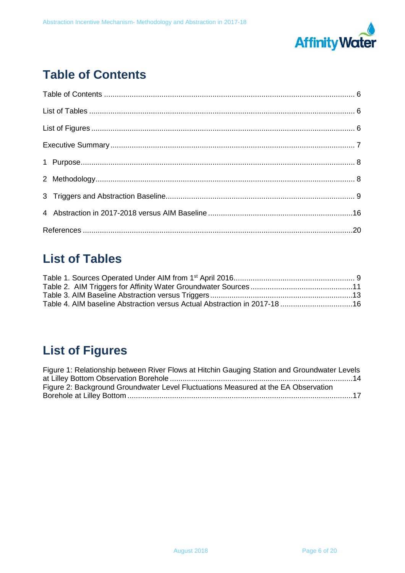

## <span id="page-4-0"></span>**Table of Contents**

## <span id="page-4-1"></span>**List of Tables**

| Table 4. AIM baseline Abstraction versus Actual Abstraction in 2017-18 16 |  |
|---------------------------------------------------------------------------|--|

## <span id="page-4-2"></span>**List of Figures**

| Figure 1: Relationship between River Flows at Hitchin Gauging Station and Groundwater Levels |  |
|----------------------------------------------------------------------------------------------|--|
|                                                                                              |  |
| Figure 2: Background Groundwater Level Fluctuations Measured at the EA Observation           |  |
|                                                                                              |  |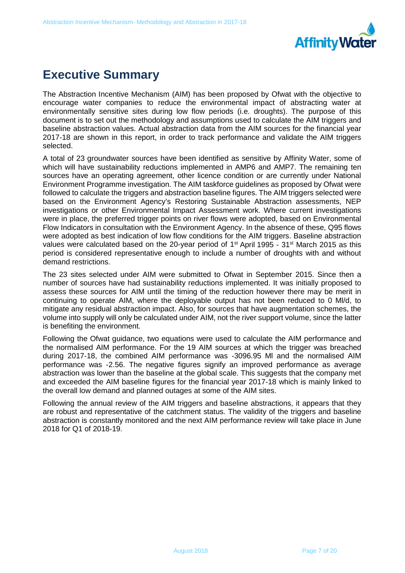

## <span id="page-5-0"></span>**Executive Summary**

The Abstraction Incentive Mechanism (AIM) has been proposed by Ofwat with the objective to encourage water companies to reduce the environmental impact of abstracting water at environmentally sensitive sites during low flow periods (i.e. droughts). The purpose of this document is to set out the methodology and assumptions used to calculate the AIM triggers and baseline abstraction values. Actual abstraction data from the AIM sources for the financial year 2017-18 are shown in this report, in order to track performance and validate the AIM triggers selected.

A total of 23 groundwater sources have been identified as sensitive by Affinity Water, some of which will have sustainability reductions implemented in AMP6 and AMP7. The remaining ten sources have an operating agreement, other licence condition or are currently under National Environment Programme investigation. The AIM taskforce guidelines as proposed by Ofwat were followed to calculate the triggers and abstraction baseline figures. The AIM triggers selected were based on the Environment Agency's Restoring Sustainable Abstraction assessments, NEP investigations or other Environmental Impact Assessment work. Where current investigations were in place, the preferred trigger points on river flows were adopted, based on Environmental Flow Indicators in consultation with the Environment Agency. In the absence of these, Q95 flows were adopted as best indication of low flow conditions for the AIM triggers. Baseline abstraction values were calculated based on the 20-year period of  $1<sup>st</sup>$  April 1995 - 31<sup>st</sup> March 2015 as this period is considered representative enough to include a number of droughts with and without demand restrictions.

The 23 sites selected under AIM were submitted to Ofwat in September 2015. Since then a number of sources have had sustainability reductions implemented. It was initially proposed to assess these sources for AIM until the timing of the reduction however there may be merit in continuing to operate AIM, where the deployable output has not been reduced to 0 Ml/d, to mitigate any residual abstraction impact. Also, for sources that have augmentation schemes, the volume into supply will only be calculated under AIM, not the river support volume, since the latter is benefiting the environment.

Following the Ofwat guidance, two equations were used to calculate the AIM performance and the normalised AIM performance. For the 19 AIM sources at which the trigger was breached during 2017-18, the combined AIM performance was -3096.95 Ml and the normalised AIM performance was -2.56. The negative figures signify an improved performance as average abstraction was lower than the baseline at the global scale. This suggests that the company met and exceeded the AIM baseline figures for the financial year 2017-18 which is mainly linked to the overall low demand and planned outages at some of the AIM sites.

Following the annual review of the AIM triggers and baseline abstractions, it appears that they are robust and representative of the catchment status. The validity of the triggers and baseline abstraction is constantly monitored and the next AIM performance review will take place in June 2018 for Q1 of 2018-19.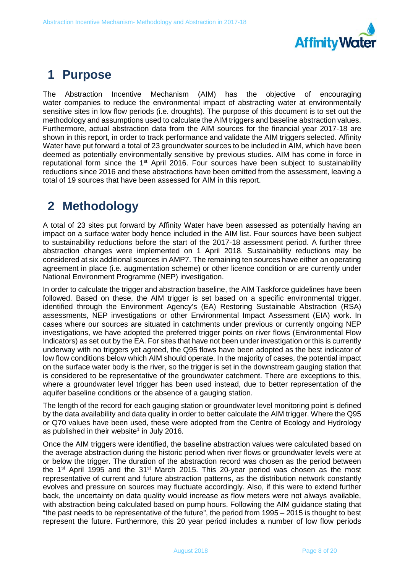

## <span id="page-6-0"></span>**1 Purpose**

The Abstraction Incentive Mechanism (AIM) has the objective of encouraging water companies to reduce the environmental impact of abstracting water at environmentally sensitive sites in low flow periods (i.e. droughts). The purpose of this document is to set out the methodology and assumptions used to calculate the AIM triggers and baseline abstraction values. Furthermore, actual abstraction data from the AIM sources for the financial year 2017-18 are shown in this report, in order to track performance and validate the AIM triggers selected. Affinity Water have put forward a total of 23 groundwater sources to be included in AIM, which have been deemed as potentially environmentally sensitive by previous studies. AIM has come in force in reputational form since the  $1<sup>st</sup>$  April 2016. Four sources have been subject to sustainability reductions since 2016 and these abstractions have been omitted from the assessment, leaving a total of 19 sources that have been assessed for AIM in this report.

## <span id="page-6-1"></span>**2 Methodology**

A total of 23 sites put forward by Affinity Water have been assessed as potentially having an impact on a surface water body hence included in the AIM list. Four sources have been subject to sustainability reductions before the start of the 2017-18 assessment period. A further three abstraction changes were implemented on 1 April 2018. Sustainability reductions may be considered at six additional sources in AMP7. The remaining ten sources have either an operating agreement in place (i.e. augmentation scheme) or other licence condition or are currently under National Environment Programme (NEP) investigation.

In order to calculate the trigger and abstraction baseline, the AIM Taskforce guidelines have been followed. Based on these, the AIM trigger is set based on a specific environmental trigger, identified through the Environment Agency's (EA) Restoring Sustainable Abstraction (RSA) assessments, NEP investigations or other Environmental Impact Assessment (EIA) work. In cases where our sources are situated in catchments under previous or currently ongoing NEP investigations, we have adopted the preferred trigger points on river flows (Environmental Flow Indicators) as set out by the EA. For sites that have not been under investigation or this is currently underway with no triggers yet agreed, the Q95 flows have been adopted as the best indicator of low flow conditions below which AIM should operate. In the majority of cases, the potential impact on the surface water body is the river, so the trigger is set in the downstream gauging station that is considered to be representative of the groundwater catchment. There are exceptions to this, where a groundwater level trigger has been used instead, due to better representation of the aquifer baseline conditions or the absence of a gauging station.

The length of the record for each gauging station or groundwater level monitoring point is defined by the data availability and data quality in order to better calculate the AIM trigger. Where the Q95 or Q70 values have been used, these were adopted from the Centre of Ecology and Hydrology as published in their website<sup>1</sup> in July 2016.

Once the AIM triggers were identified, the baseline abstraction values were calculated based on the average abstraction during the historic period when river flows or groundwater levels were at or below the trigger. The duration of the abstraction record was chosen as the period between the 1<sup>st</sup> April 1995 and the 31<sup>st</sup> March 2015. This 20-year period was chosen as the most representative of current and future abstraction patterns, as the distribution network constantly evolves and pressure on sources may fluctuate accordingly. Also, if this were to extend further back, the uncertainty on data quality would increase as flow meters were not always available, with abstraction being calculated based on pump hours. Following the AIM guidance stating that "the past needs to be representative of the future", the period from 1995 – 2015 is thought to best represent the future. Furthermore, this 20 year period includes a number of low flow periods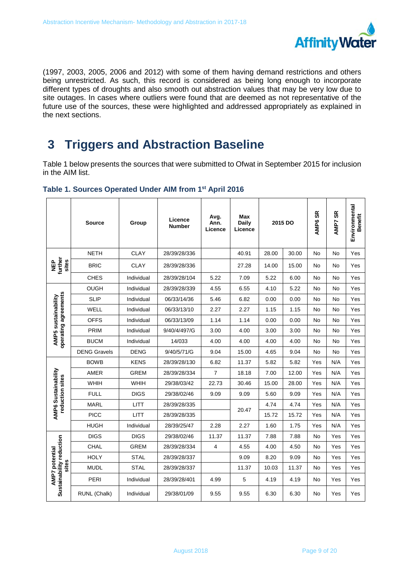

(1997, 2003, 2005, 2006 and 2012) with some of them having demand restrictions and others being unrestricted. As such, this record is considered as being long enough to incorporate different types of droughts and also smooth out abstraction values that may be very low due to site outages. In cases where outliers were found that are deemed as not representative of the future use of the sources, these were highlighted and addressed appropriately as explained in the next sections.

## <span id="page-7-0"></span>**3 Triggers and Abstraction Baseline**

[Table 1](#page-7-1) below presents the sources that were submitted to Ofwat in September 2015 for inclusion in the AIM list.

|                                                   | <b>Source</b>       | Group       | Licence<br><b>Number</b> | Avg.<br>Ann.<br>Licence | Max<br>Daily<br>Licence |       | 2015 DO | AMP6 SR   | <b>SR</b><br>AMP7 | Environmental<br><b>Benefit</b> |
|---------------------------------------------------|---------------------|-------------|--------------------------|-------------------------|-------------------------|-------|---------|-----------|-------------------|---------------------------------|
|                                                   | <b>NETH</b>         | <b>CLAY</b> | 28/39/28/336             |                         | 40.91                   | 28.00 | 30.00   | No        | No                | Yes                             |
| NEP<br>further<br>sites                           | <b>BRIC</b>         | <b>CLAY</b> | 28/39/28/336             |                         | 27.28                   | 14.00 | 15.00   | No        | No                | Yes                             |
|                                                   | CHES                | Individual  | 28/39/28/104             | 5.22                    | 7.09                    | 5.22  | 6.00    | No        | No                | Yes                             |
|                                                   | <b>OUGH</b>         | Individual  | 28/39/28/339             | 4.55                    | 6.55                    | 4.10  | 5.22    | <b>No</b> | <b>No</b>         | Yes                             |
| operating agreements                              | <b>SLIP</b>         | Individual  | 06/33/14/36              | 5.46                    | 6.82                    | 0.00  | 0.00    | No        | No                | Yes                             |
| AMP5 sustainability                               | WELL                | Individual  | 06/33/13/10              | 2.27                    | 2.27                    | 1.15  | 1.15    | No        | No                | Yes                             |
|                                                   | <b>OFFS</b>         | Individual  | 06/33/13/09              | 1.14                    | 1.14                    | 0.00  | 0.00    | No        | No                | Yes                             |
|                                                   | PRIM                | Individual  | 9/40/4/497/G             | 3.00                    | 4.00                    | 3.00  | 3.00    | No        | No                | Yes                             |
|                                                   | <b>BUCM</b>         | Individual  | 14/033                   | 4.00                    | 4.00                    | 4.00  | 4.00    | No        | No                | Yes                             |
|                                                   | <b>DENG Gravels</b> | <b>DENG</b> | 9/40/5/71/G              | 9.04                    | 15.00                   | 4.65  | 9.04    | No        | No                | Yes                             |
|                                                   | <b>BOWB</b>         | <b>KENS</b> | 28/39/28/130             | 6.82                    | 11.37                   | 5.82  | 5.82    | Yes       | N/A               | Yes                             |
|                                                   | AMER                | GREM        | 28/39/28/334             | 7                       | 18.18                   | 7.00  | 12.00   | Yes       | N/A               | Yes                             |
|                                                   | WHIH                | WHIH        | 29/38/03/42              | 22.73                   | 30.46                   | 15.00 | 28.00   | Yes       | N/A               | Yes                             |
|                                                   | <b>FULL</b>         | <b>DIGS</b> | 29/38/02/46              | 9.09                    | 9.09                    | 5.60  | 9.09    | Yes       | N/A               | Yes                             |
| <b>AMP6 Sustainability</b><br>reduction sites     | <b>MARL</b>         | <b>LITT</b> | 28/39/28/335             |                         | 20.47                   | 4.74  | 4.74    | Yes       | N/A               | Yes                             |
|                                                   | <b>PICC</b>         | <b>LITT</b> | 28/39/28/335             |                         |                         | 15.72 | 15.72   | Yes       | N/A               | Yes                             |
|                                                   | <b>HUGH</b>         | Individual  | 28/39/25/47              | 2.28                    | 2.27                    | 1.60  | 1.75    | Yes       | N/A               | Yes                             |
|                                                   | <b>DIGS</b>         | <b>DIGS</b> | 29/38/02/46              | 11.37                   | 11.37                   | 7.88  | 7.88    | No        | Yes               | Yes                             |
|                                                   | <b>CHAL</b>         | <b>GREM</b> | 28/39/28/334             | 4                       | 4.55                    | 4.00  | 4.50    | No        | Yes               | Yes                             |
|                                                   | <b>HOLY</b>         | <b>STAL</b> | 28/39/28/337             |                         | 9.09                    | 8.20  | 9.09    | No        | Yes               | Yes                             |
| sites                                             | <b>MUDL</b>         | <b>STAL</b> | 28/39/28/337             |                         | 11.37                   | 10.03 | 11.37   | No        | Yes               | Yes                             |
| Sustainability reduction<br><b>AMP7</b> potential | <b>PERI</b>         | Individual  | 28/39/28/401             | 4.99                    | 5                       | 4.19  | 4.19    | No        | Yes               | Yes                             |
|                                                   | RUNL (Chalk)        | Individual  | 29/38/01/09              | 9.55                    | 9.55                    | 6.30  | 6.30    | No        | Yes               | Yes                             |

#### <span id="page-7-1"></span>**Table 1. Sources Operated Under AIM from 1st April 2016**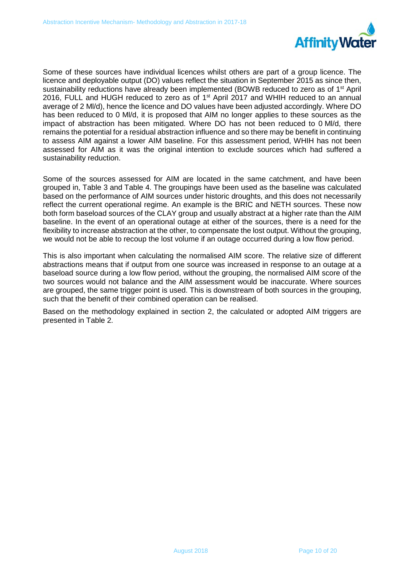

Some of these sources have individual licences whilst others are part of a group licence. The licence and deployable output (DO) values reflect the situation in September 2015 as since then, sustainability reductions have already been implemented (BOWB reduced to zero as of  $1<sup>st</sup>$  April 2016, FULL and HUGH reduced to zero as of  $1<sup>st</sup>$  April 2017 and WHIH reduced to an annual average of 2 Ml/d), hence the licence and DO values have been adjusted accordingly. Where DO has been reduced to 0 Ml/d, it is proposed that AIM no longer applies to these sources as the impact of abstraction has been mitigated. Where DO has not been reduced to 0 Ml/d, there remains the potential for a residual abstraction influence and so there may be benefit in continuing to assess AIM against a lower AIM baseline. For this assessment period, WHIH has not been assessed for AIM as it was the original intention to exclude sources which had suffered a sustainability reduction.

Some of the sources assessed for AIM are located in the same catchment, and have been grouped in, [Table 3](#page-11-0) and [Table 4.](#page-14-1) The groupings have been used as the baseline was calculated based on the performance of AIM sources under historic droughts, and this does not necessarily reflect the current operational regime. An example is the BRIC and NETH sources. These now both form baseload sources of the CLAY group and usually abstract at a higher rate than the AIM baseline. In the event of an operational outage at either of the sources, there is a need for the flexibility to increase abstraction at the other, to compensate the lost output. Without the grouping, we would not be able to recoup the lost volume if an outage occurred during a low flow period.

This is also important when calculating the normalised AIM score. The relative size of different abstractions means that if output from one source was increased in response to an outage at a baseload source during a low flow period, without the grouping, the normalised AIM score of the two sources would not balance and the AIM assessment would be inaccurate. Where sources are grouped, the same trigger point is used. This is downstream of both sources in the grouping, such that the benefit of their combined operation can be realised.

Based on the methodology explained in section 2, the calculated or adopted AIM triggers are presented in [Table 2.](#page-9-0)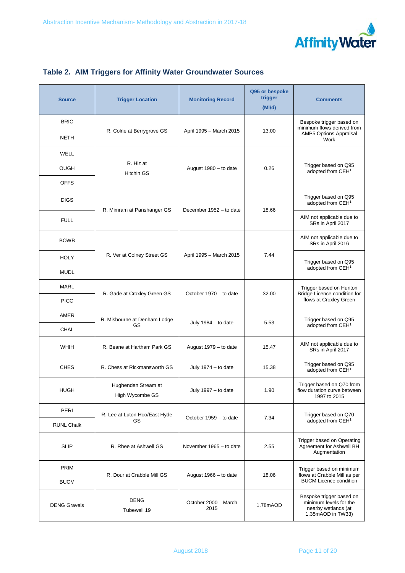

#### <span id="page-9-0"></span>**Table 2. AIM Triggers for Affinity Water Groundwater Sources**

| <b>Source</b>              | <b>Trigger Location</b>                | <b>Monitoring Record</b>     | Q95 or bespoke<br>trigger<br>(MI/d) | <b>Comments</b>                                                                                 |  |
|----------------------------|----------------------------------------|------------------------------|-------------------------------------|-------------------------------------------------------------------------------------------------|--|
| <b>BRIC</b><br><b>NETH</b> | R. Colne at Berrygrove GS              | April 1995 - March 2015      | 13.00                               | Bespoke trigger based on<br>minimum flows derived from<br><b>AMP5 Options Appraisal</b><br>Work |  |
| <b>WELL</b>                |                                        |                              |                                     |                                                                                                 |  |
| <b>OUGH</b>                | R. Hiz at<br><b>Hitchin GS</b>         | August 1980 - to date        | 0.26                                | Trigger based on Q95<br>adopted from CEH <sup>1</sup>                                           |  |
| <b>OFFS</b>                |                                        |                              |                                     |                                                                                                 |  |
| <b>DIGS</b>                | R. Mimram at Panshanger GS             | December 1952 - to date      | 18.66                               | Trigger based on Q95<br>adopted from CEH <sup>1</sup>                                           |  |
| <b>FULL</b>                |                                        |                              |                                     | AIM not applicable due to<br>SRs in April 2017                                                  |  |
| <b>BOWB</b>                |                                        |                              |                                     | AIM not applicable due to<br>SRs in April 2016                                                  |  |
| <b>HOLY</b>                | R. Ver at Colney Street GS             | April 1995 - March 2015      | 7.44                                | Trigger based on Q95                                                                            |  |
| <b>MUDL</b>                |                                        |                              |                                     | adopted from CEH <sup>1</sup>                                                                   |  |
| <b>MARL</b>                | R. Gade at Croxley Green GS            | October 1970 - to date       | 32.00                               | Trigger based on Hunton<br>Bridge Licence condition for                                         |  |
| <b>PICC</b>                |                                        |                              |                                     | flows at Croxley Green                                                                          |  |
| AMER                       | R. Misbourne at Denham Lodge           | July 1984 – to date          | 5.53                                | Trigger based on Q95                                                                            |  |
| <b>CHAL</b>                | GS                                     |                              |                                     | adopted from CEH <sup>1</sup>                                                                   |  |
| <b>WHIH</b>                | R. Beane at Hartham Park GS            | August 1979 - to date        | 15.47                               | AIM not applicable due to<br>SRs in April 2017                                                  |  |
| <b>CHES</b>                | R. Chess at Rickmansworth GS           | July 1974 – to date          | 15.38                               | Trigger based on Q95<br>adopted from CEH <sup>1</sup>                                           |  |
| <b>HUGH</b>                | Hughenden Stream at<br>High Wycombe GS | July 1997 - to date          | 1.90                                | Trigger based on Q70 from<br>flow duration curve between<br>1997 to 2015                        |  |
| <b>PERI</b>                | R. Lee at Luton Hoo/East Hyde          |                              |                                     | Trigger based on Q70                                                                            |  |
| <b>RUNL Chalk</b>          | GS                                     | October 1959 - to date       | 7.34                                | adopted from CEH <sup>1</sup>                                                                   |  |
| <b>SLIP</b>                | R. Rhee at Ashwell GS                  | November 1965 - to date      | 2.55                                | Trigger based on Operating<br>Agreement for Ashwell BH<br>Augmentation                          |  |
| <b>PRIM</b>                |                                        |                              |                                     | Trigger based on minimum                                                                        |  |
| <b>BUCM</b>                | R. Dour at Crabble Mill GS             | August 1966 - to date        | 18.06                               | flows at Crabble Mill as per<br><b>BUCM Licence condition</b>                                   |  |
| <b>DENG Gravels</b>        | <b>DENG</b><br>Tubewell 19             | October 2000 - March<br>2015 | 1.78mAOD                            | Bespoke trigger based on<br>minimum levels for the<br>nearby wetlands (at<br>1.35mAOD in TW33)  |  |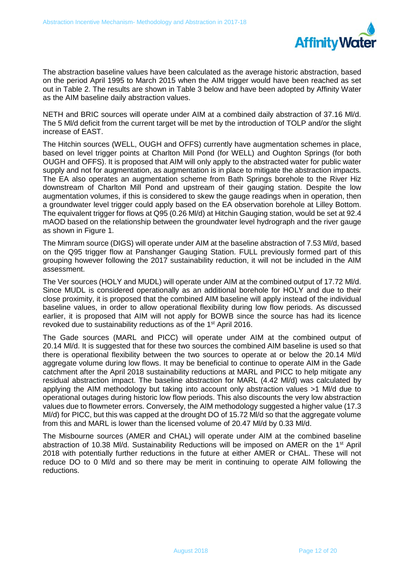

The abstraction baseline values have been calculated as the average historic abstraction, based on the period April 1995 to March 2015 when the AIM trigger would have been reached as set out in [Table 2.](#page-9-0) The results are shown in [Table 3](#page-11-0) below and have been adopted by Affinity Water as the AIM baseline daily abstraction values.

NETH and BRIC sources will operate under AIM at a combined daily abstraction of 37.16 Ml/d. The 5 Ml/d deficit from the current target will be met by the introduction of TOLP and/or the slight increase of EAST.

The Hitchin sources (WELL, OUGH and OFFS) currently have augmentation schemes in place, based on level trigger points at Charlton Mill Pond (for WELL) and Oughton Springs (for both OUGH and OFFS). It is proposed that AIM will only apply to the abstracted water for public water supply and not for augmentation, as augmentation is in place to mitigate the abstraction impacts. The EA also operates an augmentation scheme from Bath Springs borehole to the River Hiz downstream of Charlton Mill Pond and upstream of their gauging station. Despite the low augmentation volumes, if this is considered to skew the gauge readings when in operation, then a groundwater level trigger could apply based on the EA observation borehole at Lilley Bottom. The equivalent trigger for flows at Q95 (0.26 Ml/d) at Hitchin Gauging station, would be set at 92.4 mAOD based on the relationship between the groundwater level hydrograph and the river gauge as shown in [Figure 1.](#page-12-0)

The Mimram source (DIGS) will operate under AIM at the baseline abstraction of 7.53 Ml/d, based on the Q95 trigger flow at Panshanger Gauging Station. FULL previously formed part of this grouping however following the 2017 sustainability reduction, it will not be included in the AIM assessment.

The Ver sources (HOLY and MUDL) will operate under AIM at the combined output of 17.72 Ml/d. Since MUDL is considered operationally as an additional borehole for HOLY and due to their close proximity, it is proposed that the combined AIM baseline will apply instead of the individual baseline values, in order to allow operational flexibility during low flow periods. As discussed earlier, it is proposed that AIM will not apply for BOWB since the source has had its licence revoked due to sustainability reductions as of the 1<sup>st</sup> April 2016.

The Gade sources (MARL and PICC) will operate under AIM at the combined output of 20.14 Ml/d. It is suggested that for these two sources the combined AIM baseline is used so that there is operational flexibility between the two sources to operate at or below the 20.14 Ml/d aggregate volume during low flows. It may be beneficial to continue to operate AIM in the Gade catchment after the April 2018 sustainability reductions at MARL and PICC to help mitigate any residual abstraction impact. The baseline abstraction for MARL (4.42 Ml/d) was calculated by applying the AIM methodology but taking into account only abstraction values >1 Ml/d due to operational outages during historic low flow periods. This also discounts the very low abstraction values due to flowmeter errors. Conversely, the AIM methodology suggested a higher value (17.3 Ml/d) for PICC, but this was capped at the drought DO of 15.72 Ml/d so that the aggregate volume from this and MARL is lower than the licensed volume of 20.47 Ml/d by 0.33 Ml/d.

The Misbourne sources (AMER and CHAL) will operate under AIM at the combined baseline abstraction of 10.38 MI/d. Sustainability Reductions will be imposed on AMER on the 1<sup>st</sup> April 2018 with potentially further reductions in the future at either AMER or CHAL. These will not reduce DO to 0 Ml/d and so there may be merit in continuing to operate AIM following the reductions.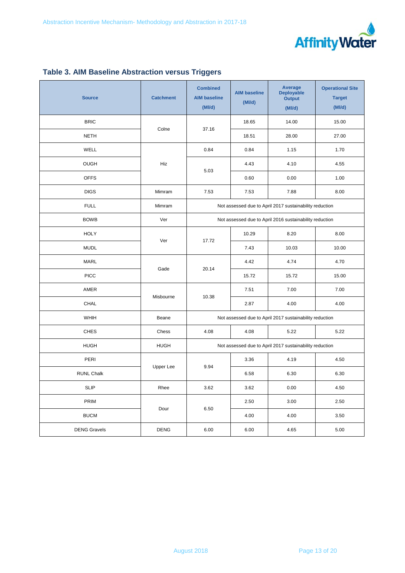

#### <span id="page-11-0"></span>**Table 3. AIM Baseline Abstraction versus Triggers**

| <b>Source</b>       | <b>Catchment</b> | <b>Combined</b><br><b>AIM baseline</b><br>(MI/d) | <b>AIM baseline</b><br>(MI/d) | Average<br><b>Deployable</b><br><b>Output</b><br>(MI/d) | <b>Operational Site</b><br><b>Target</b><br>(MI/d) |
|---------------------|------------------|--------------------------------------------------|-------------------------------|---------------------------------------------------------|----------------------------------------------------|
| <b>BRIC</b>         |                  |                                                  | 18.65                         | 14.00                                                   | 15.00                                              |
| <b>NETH</b>         | Colne            | 37.16                                            | 18.51                         | 28.00                                                   | 27.00                                              |
| WELL                |                  | 0.84                                             | 0.84                          | 1.15                                                    | 1.70                                               |
| <b>OUGH</b>         | Hiz              |                                                  | 4.43                          | 4.10                                                    | 4.55                                               |
| <b>OFFS</b>         |                  | 5.03                                             | 0.60                          | 0.00                                                    | 1.00                                               |
| <b>DIGS</b>         | Mimram           | 7.53                                             | 7.53                          | 7.88                                                    | 8.00                                               |
| <b>FULL</b>         | Mimram           |                                                  |                               | Not assessed due to April 2017 sustainability reduction |                                                    |
| <b>BOWB</b>         | Ver              |                                                  |                               | Not assessed due to April 2016 sustainability reduction |                                                    |
| <b>HOLY</b>         |                  |                                                  | 10.29                         | 8.20                                                    | 8.00                                               |
| <b>MUDL</b>         | Ver              | 17.72                                            | 7.43                          | 10.03                                                   | 10.00                                              |
| <b>MARL</b>         |                  | 20.14                                            | 4.42                          | 4.74                                                    | 4.70                                               |
| <b>PICC</b>         | Gade             |                                                  | 15.72                         | 15.72                                                   | 15.00                                              |
| AMER                |                  | 10.38                                            | 7.51                          | 7.00                                                    | 7.00                                               |
| CHAL                | Misbourne        |                                                  | 2.87                          | 4.00                                                    | 4.00                                               |
| WHIH                | Beane            |                                                  |                               | Not assessed due to April 2017 sustainability reduction |                                                    |
| <b>CHES</b>         | Chess            | 4.08                                             | 4.08                          | 5.22                                                    | 5.22                                               |
| <b>HUGH</b>         | <b>HUGH</b>      |                                                  |                               | Not assessed due to April 2017 sustainability reduction |                                                    |
| PERI                |                  |                                                  | 3.36                          | 4.19                                                    | 4.50                                               |
| <b>RUNL Chalk</b>   | <b>Upper Lee</b> | 9.94                                             | 6.58                          | 6.30                                                    | 6.30                                               |
| <b>SLIP</b>         | Rhee             | 3.62                                             | 3.62                          | 0.00                                                    | 4.50                                               |
| PRIM                |                  |                                                  | 2.50                          | 3.00                                                    | 2.50                                               |
| <b>BUCM</b>         | Dour             | 6.50                                             | 4.00                          | 4.00                                                    | 3.50                                               |
| <b>DENG Gravels</b> | <b>DENG</b>      | 6.00                                             | 6.00                          | 4.65                                                    | 5.00                                               |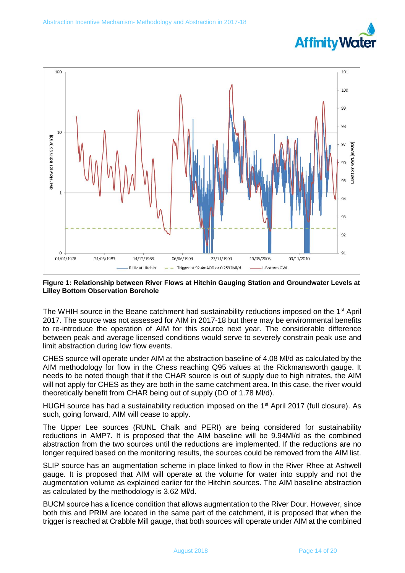



#### <span id="page-12-0"></span>**Figure 1: Relationship between River Flows at Hitchin Gauging Station and Groundwater Levels at Lilley Bottom Observation Borehole**

The WHIH source in the Beane catchment had sustainability reductions imposed on the 1<sup>st</sup> April 2017. The source was not assessed for AIM in 2017-18 but there may be environmental benefits to re-introduce the operation of AIM for this source next year. The considerable difference between peak and average licensed conditions would serve to severely constrain peak use and limit abstraction during low flow events.

CHES source will operate under AIM at the abstraction baseline of 4.08 Ml/d as calculated by the AIM methodology for flow in the Chess reaching Q95 values at the Rickmansworth gauge. It needs to be noted though that if the CHAR source is out of supply due to high nitrates, the AIM will not apply for CHES as they are both in the same catchment area. In this case, the river would theoretically benefit from CHAR being out of supply (DO of 1.78 Ml/d).

HUGH source has had a sustainability reduction imposed on the 1<sup>st</sup> April 2017 (full closure). As such, going forward, AIM will cease to apply.

The Upper Lee sources (RUNL Chalk and PERI) are being considered for sustainability reductions in AMP7. It is proposed that the AIM baseline will be 9.94Ml/d as the combined abstraction from the two sources until the reductions are implemented. If the reductions are no longer required based on the monitoring results, the sources could be removed from the AIM list.

SLIP source has an augmentation scheme in place linked to flow in the River Rhee at Ashwell gauge. It is proposed that AIM will operate at the volume for water into supply and not the augmentation volume as explained earlier for the Hitchin sources. The AIM baseline abstraction as calculated by the methodology is 3.62 Ml/d.

BUCM source has a licence condition that allows augmentation to the River Dour. However, since both this and PRIM are located in the same part of the catchment, it is proposed that when the trigger is reached at Crabble Mill gauge, that both sources will operate under AIM at the combined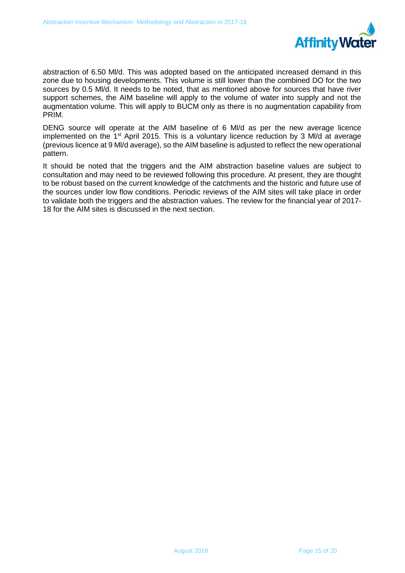

abstraction of 6.50 Ml/d. This was adopted based on the anticipated increased demand in this zone due to housing developments. This volume is still lower than the combined DO for the two sources by 0.5 Ml/d. It needs to be noted, that as mentioned above for sources that have river support schemes, the AIM baseline will apply to the volume of water into supply and not the augmentation volume. This will apply to BUCM only as there is no augmentation capability from PRIM.

DENG source will operate at the AIM baseline of 6 Ml/d as per the new average licence implemented on the  $1<sup>st</sup>$  April 2015. This is a voluntary licence reduction by 3 MI/d at average (previous licence at 9 Ml/d average), so the AIM baseline is adjusted to reflect the new operational pattern.

It should be noted that the triggers and the AIM abstraction baseline values are subject to consultation and may need to be reviewed following this procedure. At present, they are thought to be robust based on the current knowledge of the catchments and the historic and future use of the sources under low flow conditions. Periodic reviews of the AIM sites will take place in order to validate both the triggers and the abstraction values. The review for the financial year of 2017- 18 for the AIM sites is discussed in the next section.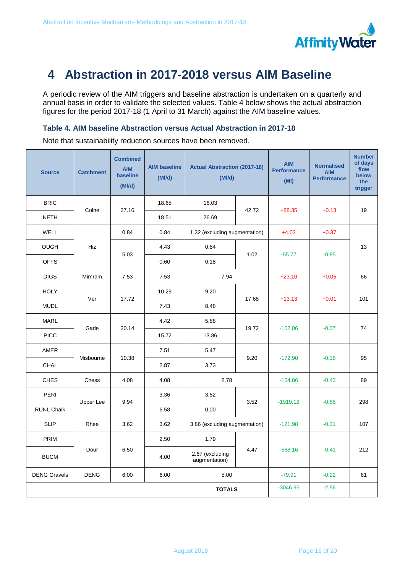

## <span id="page-14-0"></span>**4 Abstraction in 2017-2018 versus AIM Baseline**

A periodic review of the AIM triggers and baseline abstraction is undertaken on a quarterly and annual basis in order to validate the selected values. [Table 4](#page-14-1) below shows the actual abstraction figures for the period 2017-18 (1 April to 31 March) against the AIM baseline values.

#### <span id="page-14-1"></span>**Table 4. AIM baseline Abstraction versus Actual Abstraction in 2017-18**

Note that sustainability reduction sources have been removed.

| <b>Source</b>       | <b>Catchment</b> | <b>Combined</b><br><b>AIM</b><br>baseline<br>(MI/d) | <b>AIM baseline</b><br>(MI/d) | <b>Actual Abstraction (2017-18)</b><br>(MI/d) |       | <b>AIM</b><br><b>Performance</b><br>(MI) | <b>Normalised</b><br><b>AIM</b><br><b>Performance</b> | <b>Number</b><br>of days<br>flow<br>below<br>the<br>trigger |  |
|---------------------|------------------|-----------------------------------------------------|-------------------------------|-----------------------------------------------|-------|------------------------------------------|-------------------------------------------------------|-------------------------------------------------------------|--|
| <b>BRIC</b>         | Colne            | 37.16                                               | 18.65                         | 16.03                                         | 42.72 | $+88.35$                                 | $+0.13$                                               | 19                                                          |  |
| <b>NETH</b>         |                  |                                                     | 18.51                         | 26.69                                         |       |                                          |                                                       |                                                             |  |
| <b>WELL</b>         |                  | 0.84                                                | 0.84                          | 1.32 (excluding augmentation)                 |       | $+4.03$                                  | $+0.37$                                               |                                                             |  |
| <b>OUGH</b>         | Hiz              |                                                     | 4.43                          | 0.84                                          |       |                                          |                                                       | 13                                                          |  |
| <b>OFFS</b>         |                  | 5.03                                                | 0.60                          | 0.18                                          | 1.02  | $-55.77$                                 | $-0.85$                                               |                                                             |  |
| <b>DIGS</b>         | Mimram           | 7.53                                                | 7.53                          | 7.94                                          |       | $+23.10$                                 | $+0.05$                                               | 66                                                          |  |
| <b>HOLY</b>         |                  |                                                     | 10.29                         | 9.20                                          |       | $+13.13$                                 | $+0.01$                                               | 101                                                         |  |
| <b>MUDL</b>         | Ver              | 17.72                                               | 7.43                          | 8.48                                          | 17.68 |                                          |                                                       |                                                             |  |
| <b>MARL</b>         |                  |                                                     | 4.42                          | 5.88                                          |       | $-102.86$                                | $-0.07$                                               | 74                                                          |  |
| <b>PICC</b>         | Gade             | 20.14                                               | 15.72                         | 13.86                                         | 19.72 |                                          |                                                       |                                                             |  |
| AMER                |                  |                                                     | 7.51                          | 5.47                                          |       | $-172.90$                                | $-0.18$                                               | 95                                                          |  |
| <b>CHAL</b>         | Misbourne        | 10.38                                               | 2.87                          | 3.73                                          | 9.20  |                                          |                                                       |                                                             |  |
| <b>CHES</b>         | Chess            | 4.08                                                | 4.08                          | 2.78                                          |       | $-154.86$                                | $-0.43$                                               | 89                                                          |  |
| <b>PERI</b>         |                  | 9.94                                                | 3.36                          | 3.52                                          | 3.52  |                                          | $-0.65$                                               | 298                                                         |  |
| <b>RUNL Chalk</b>   | <b>Upper Lee</b> |                                                     | 6.58                          | 0.00                                          |       | $-1919.12$                               |                                                       |                                                             |  |
| <b>SLIP</b>         | Rhee             | 3.62                                                | 3.62                          | 3.86 (excluding augmentation)                 |       | $-121.98$                                | $-0.31$                                               | 107                                                         |  |
| PRIM                |                  |                                                     | 2.50                          | 1.79                                          |       |                                          |                                                       | 212                                                         |  |
| <b>BUCM</b>         | Dour             | 6.50                                                | 4.00                          | 2.67 (excluding<br>augmentation)              | 4.47  | $-568.16$                                | $-0.41$                                               |                                                             |  |
| <b>DENG Gravels</b> | <b>DENG</b>      | 6.00                                                | 6.00                          | 5.00                                          |       | $-79.91$                                 | $-0.22$                                               | 61                                                          |  |
|                     |                  |                                                     |                               | <b>TOTALS</b>                                 |       | $-3046.95$                               | $-2.56$                                               |                                                             |  |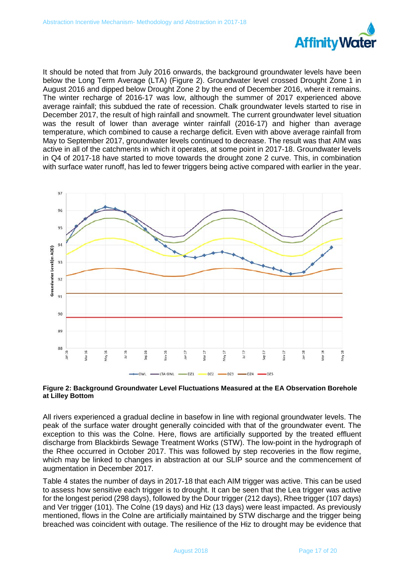

It should be noted that from July 2016 onwards, the background groundwater levels have been below the Long Term Average (LTA) [\(Figure 2\)](#page-15-0). Groundwater level crossed Drought Zone 1 in August 2016 and dipped below Drought Zone 2 by the end of December 2016, where it remains. The winter recharge of 2016-17 was low, although the summer of 2017 experienced above average rainfall; this subdued the rate of recession. Chalk groundwater levels started to rise in December 2017, the result of high rainfall and snowmelt. The current groundwater level situation was the result of lower than average winter rainfall (2016-17) and higher than average temperature, which combined to cause a recharge deficit. Even with above average rainfall from May to September 2017, groundwater levels continued to decrease. The result was that AIM was active in all of the catchments in which it operates, at some point in 2017-18. Groundwater levels in Q4 of 2017-18 have started to move towards the drought zone 2 curve. This, in combination with surface water runoff, has led to fewer triggers being active compared with earlier in the year.



#### <span id="page-15-0"></span>**Figure 2: Background Groundwater Level Fluctuations Measured at the EA Observation Borehole at Lilley Bottom**

All rivers experienced a gradual decline in basefow in line with regional groundwater levels. The peak of the surface water drought generally coincided with that of the groundwater event. The exception to this was the Colne. Here, flows are artificially supported by the treated effluent discharge from Blackbirds Sewage Treatment Works (STW). The low-point in the hydrograph of the Rhee occurred in October 2017. This was followed by step recoveries in the flow regime, which may be linked to changes in abstraction at our SLIP source and the commencement of augmentation in December 2017.

[Table 4](#page-14-1) states the number of days in 2017-18 that each AIM trigger was active. This can be used to assess how sensitive each trigger is to drought. It can be seen that the Lea trigger was active for the longest period (298 days), followed by the Dour trigger (212 days), Rhee trigger (107 days) and Ver trigger (101). The Colne (19 days) and Hiz (13 days) were least impacted. As previously mentioned, flows in the Colne are artificially maintained by STW discharge and the trigger being breached was coincident with outage. The resilience of the Hiz to drought may be evidence that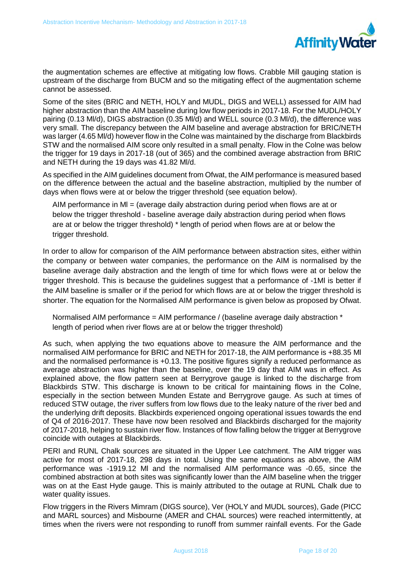

the augmentation schemes are effective at mitigating low flows. Crabble Mill gauging station is upstream of the discharge from BUCM and so the mitigating effect of the augmentation scheme cannot be assessed.

Some of the sites (BRIC and NETH, HOLY and MUDL, DIGS and WELL) assessed for AIM had higher abstraction than the AIM baseline during low flow periods in 2017-18. For the MUDL/HOLY pairing (0.13 Ml/d), DIGS abstraction (0.35 Ml/d) and WELL source (0.3 Ml/d), the difference was very small. The discrepancy between the AIM baseline and average abstraction for BRIC/NETH was larger (4.65 Ml/d) however flow in the Colne was maintained by the discharge from Blackbirds STW and the normalised AIM score only resulted in a small penalty. Flow in the Colne was below the trigger for 19 days in 2017-18 (out of 365) and the combined average abstraction from BRIC and NETH during the 19 days was 41.82 Ml/d.

As specified in the AIM guidelines document from Ofwat, the AIM performance is measured based on the difference between the actual and the baseline abstraction, multiplied by the number of days when flows were at or below the trigger threshold (see equation below).

AIM performance in MI = (average daily abstraction during period when flows are at or below the trigger threshold - baseline average daily abstraction during period when flows are at or below the trigger threshold) \* length of period when flows are at or below the trigger threshold.

In order to allow for comparison of the AIM performance between abstraction sites, either within the company or between water companies, the performance on the AIM is normalised by the baseline average daily abstraction and the length of time for which flows were at or below the trigger threshold. This is because the guidelines suggest that a performance of -1Ml is better if the AIM baseline is smaller or if the period for which flows are at or below the trigger threshold is shorter. The equation for the Normalised AIM performance is given below as proposed by Ofwat.

Normalised AIM performance = AIM performance / (baseline average daily abstraction \* length of period when river flows are at or below the trigger threshold)

As such, when applying the two equations above to measure the AIM performance and the normalised AIM performance for BRIC and NETH for 2017-18, the AIM performance is +88.35 Ml and the normalised performance is +0.13. The positive figures signify a reduced performance as average abstraction was higher than the baseline, over the 19 day that AIM was in effect. As explained above, the flow pattern seen at Berrygrove gauge is linked to the discharge from Blackbirds STW. This discharge is known to be critical for maintaining flows in the Colne, especially in the section between Munden Estate and Berrygrove gauge. As such at times of reduced STW outage, the river suffers from low flows due to the leaky nature of the river bed and the underlying drift deposits. Blackbirds experienced ongoing operational issues towards the end of Q4 of 2016-2017. These have now been resolved and Blackbirds discharged for the majority of 2017-2018, helping to sustain river flow. Instances of flow falling below the trigger at Berrygrove coincide with outages at Blackbirds.

PERI and RUNL Chalk sources are situated in the Upper Lee catchment. The AIM trigger was active for most of 2017-18, 298 days in total. Using the same equations as above, the AIM performance was -1919.12 Ml and the normalised AIM performance was -0.65, since the combined abstraction at both sites was significantly lower than the AIM baseline when the trigger was on at the East Hyde gauge. This is mainly attributed to the outage at RUNL Chalk due to water quality issues.

Flow triggers in the Rivers Mimram (DIGS source), Ver (HOLY and MUDL sources), Gade (PICC and MARL sources) and Misbourne (AMER and CHAL sources) were reached intermittently, at times when the rivers were not responding to runoff from summer rainfall events. For the Gade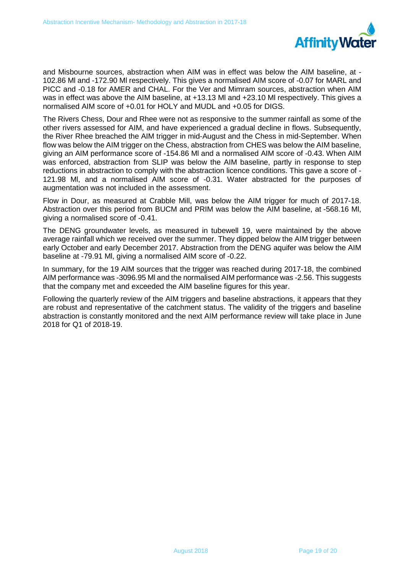

and Misbourne sources, abstraction when AIM was in effect was below the AIM baseline, at - 102.86 Ml and -172.90 Ml respectively. This gives a normalised AIM score of -0.07 for MARL and PICC and -0.18 for AMER and CHAL. For the Ver and Mimram sources, abstraction when AIM was in effect was above the AIM baseline, at +13.13 Ml and +23.10 Ml respectively. This gives a normalised AIM score of +0.01 for HOLY and MUDL and +0.05 for DIGS.

The Rivers Chess, Dour and Rhee were not as responsive to the summer rainfall as some of the other rivers assessed for AIM, and have experienced a gradual decline in flows. Subsequently, the River Rhee breached the AIM trigger in mid-August and the Chess in mid-September. When flow was below the AIM trigger on the Chess, abstraction from CHES was below the AIM baseline, giving an AIM performance score of -154.86 Ml and a normalised AIM score of -0.43. When AIM was enforced, abstraction from SLIP was below the AIM baseline, partly in response to step reductions in abstraction to comply with the abstraction licence conditions. This gave a score of - 121.98 Ml, and a normalised AIM score of -0.31. Water abstracted for the purposes of augmentation was not included in the assessment.

Flow in Dour, as measured at Crabble Mill, was below the AIM trigger for much of 2017-18. Abstraction over this period from BUCM and PRIM was below the AIM baseline, at -568.16 Ml, giving a normalised score of -0.41.

The DENG groundwater levels, as measured in tubewell 19, were maintained by the above average rainfall which we received over the summer. They dipped below the AIM trigger between early October and early December 2017. Abstraction from the DENG aquifer was below the AIM baseline at -79.91 Ml, giving a normalised AIM score of -0.22.

In summary, for the 19 AIM sources that the trigger was reached during 2017-18, the combined AIM performance was -3096.95 Ml and the normalised AIM performance was -2.56. This suggests that the company met and exceeded the AIM baseline figures for this year.

Following the quarterly review of the AIM triggers and baseline abstractions, it appears that they are robust and representative of the catchment status. The validity of the triggers and baseline abstraction is constantly monitored and the next AIM performance review will take place in June 2018 for Q1 of 2018-19.